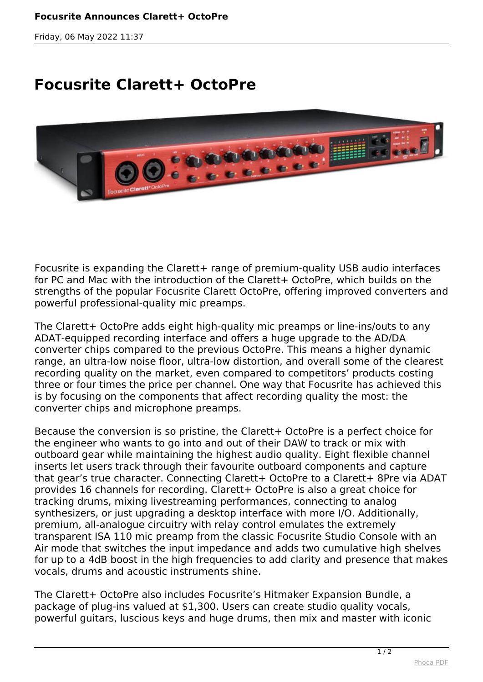*Friday, 06 May 2022 11:37*

## **Focusrite Clarett+ OctoPre**



*Focusrite is expanding the Clarett+ range of premium-quality USB audio interfaces for PC and Mac with the introduction of the Clarett+ OctoPre, which builds on the strengths of the popular Focusrite Clarett OctoPre, offering improved converters and powerful professional-quality mic preamps.* 

*The Clarett+ OctoPre adds eight high-quality mic preamps or line-ins/outs to any ADAT-equipped recording interface and offers a huge upgrade to the AD/DA converter chips compared to the previous OctoPre. This means a higher dynamic range, an ultra-low noise floor, ultra-low distortion, and overall some of the clearest recording quality on the market, even compared to competitors' products costing three or four times the price per channel. One way that Focusrite has achieved this is by focusing on the components that affect recording quality the most: the converter chips and microphone preamps.* 

*Because the conversion is so pristine, the Clarett+ OctoPre is a perfect choice for the engineer who wants to go into and out of their DAW to track or mix with outboard gear while maintaining the highest audio quality. Eight flexible channel inserts let users track through their favourite outboard components and capture that gear's true character. Connecting Clarett+ OctoPre to a Clarett+ 8Pre via ADAT provides 16 channels for recording. Clarett+ OctoPre is also a great choice for tracking drums, mixing livestreaming performances, connecting to analog synthesizers, or just upgrading a desktop interface with more I/O. Additionally, premium, all-analogue circuitry with relay control emulates the extremely transparent ISA 110 mic preamp from the classic Focusrite Studio Console with an Air mode that switches the input impedance and adds two cumulative high shelves for up to a 4dB boost in the high frequencies to add clarity and presence that makes vocals, drums and acoustic instruments shine.* 

*The Clarett+ OctoPre also includes Focusrite's Hitmaker Expansion Bundle, a package of plug-ins valued at \$1,300. Users can create studio quality vocals, powerful guitars, luscious keys and huge drums, then mix and master with iconic*